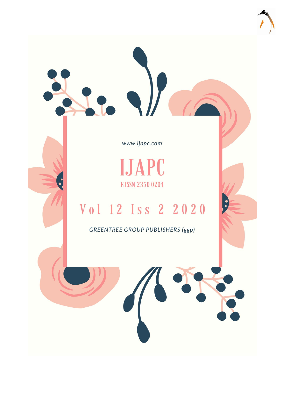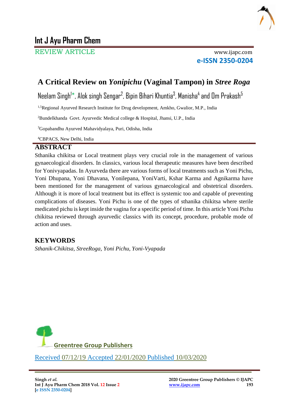

REVIEW ARTICLE www.ijapc.com

**e-ISSN 2350-0204**

# **A Critical Review on** *Yonipichu* **(Vaginal Tampon) in** *Stree Roga*

Neelam Singh<sup>1</sup>\*, Alok singh Sengar<sup>2</sup>, Bipin Bihari Khuntia<sup>3</sup>, Manisha<sup>4</sup> and Om Prakash<sup>5</sup>

<sup>1,5</sup>Regional Ayurved Research Institute for Drug development, Amkho, Gwalior, M.P., India

<sup>2</sup>Bundelkhanda Govt. Ayurvedic Medical college & Hospital, Jhansi, U.P., India

<sup>3</sup>Gopabandhu Ayurved Mahavidyalaya, Puri, Odisha, India

4CBPACS, New Delhi, India

# **ABSTRACT**

Sthanika chikitsa or Local treatment plays very crucial role in the management of various gynaecological disorders. In classics, various local therapeutic measures have been described for Yonivyapadas. In Ayurveda there are various forms of local treatments such as Yoni Pichu, Yoni Dhupana, Yoni Dhavana, Yonilepana, YoniVarti, Kshar Karma and Agnikarma have been mentioned for the management of various gynaecological and obstetrical disorders. Although it is more of local treatment but its effect is systemic too and capable of preventing complications of diseases. Yoni Pichu is one of the types of sthanika chikitsa where sterile medicated pichu is kept inside the vagina for a specific period of time. In this article Yoni Pichu chikitsa reviewed through ayurvedic classics with its concept, procedure, probable mode of action and uses.

# **KEYWORDS**

*Sthanik-Chikitsa, StreeRoga, Yoni Pichu, Yoni-Vyapada*



\_\_\_\_\_\_\_\_\_\_\_\_\_\_\_\_\_\_\_\_\_\_\_\_\_\_\_\_\_\_\_\_\_\_\_\_\_\_\_\_\_\_\_\_\_\_\_\_\_\_\_\_\_\_\_\_\_\_\_\_\_\_\_\_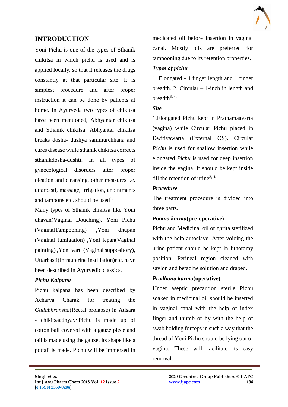# **INTRODUCTION**

Yoni Pichu is one of the types of Sthanik chikitsa in which pichu is used and is applied locally, so that it releases the drugs constantly at that particular site. It is simplest procedure and after proper instruction it can be done by patients at home. In Ayurveda two types of chikitsa have been mentioned, Abhyantar chikitsa and Sthanik chikitsa. Abhyantar chikitsa breaks dosha- dushya sammurchhana and cures disease while sthanik chikitsa corrects sthanikdosha-dushti. In all types of gynecological disorders after proper oleation and cleansing, other measures i.e. uttarbasti, massage, irrigation, anointments and tampons etc. should be used<sup>1.</sup>

Many types of Sthanik chikitsa like Yoni dhavan(Vaginal Douching), Yoni Pichu (VaginalTampooning) ,Yoni dhupan (Vaginal fumigation) ,Yoni lepan(Vaginal painting) ,Yoni varti (Vaginal suppository), Uttarbasti(Intrauterine instillation)etc. have been described in Ayurvedic classics.

#### *Pichu Kalpana*

Pichu kalpana has been described by Acharya Charak for treating the *Gudabhransha*(Rectal prolapse) in Atisara - chikitsaadhyay<sup>2</sup>Pichu is made up of cotton ball covered with a gauze piece and tail is made using the gauze. Its shape like a pottali is made. Pichu will be immersed in

medicated oil before insertion in vaginal canal. Mostly oils are preferred for tampooning due to its retention properties.

## *Types of pichu*

1. Elongated - 4 finger length and 1 finger breadth. 2. Circular – 1-inch in length and breadth $3, 4$ .

### *Site*

1.Elongated Pichu kept in Prathamaavarta (vagina) while Circular Pichu placed in Dwitiyawarta (External OS)**.** Circular *Pichu* is used for shallow insertion while elongated *Pichu* is used for deep insertion inside the vagina. It should be kept inside till the retention of urine<sup>3, 4.</sup>

### *Procedure*

 $\mathcal{L}_\mathcal{L}$  , and the contribution of the contribution of the contribution of the contribution of the contribution of the contribution of the contribution of the contribution of the contribution of the contribution of

The treatment procedure is divided into three parts.

# *Poorva karma***(pre-operative)**

Pichu and Medicinal oil or ghrita sterilized with the help autoclave. After voiding the urine patient should be kept in lithotomy position. Perineal region cleaned with savlon and betadine solution and draped.

# *Pradhana karma***(operative)**

Under aseptic precaution sterile Pichu soaked in medicinal oil should be inserted in vaginal canal with the help of index finger and thumb or by with the help of swab holding forceps in such a way that the thread of Yoni Pichu should be lying out of vagina. These will facilitate its easy removal.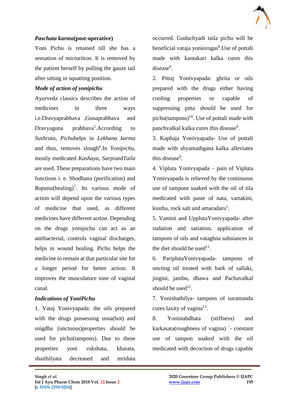#### *Paschata karma***(post-operative)**

Yoni Pichu is retained till she has a sensation of micturition. It is removed by the patient herself by pulling the gauze tail after sitting in squatting position.

#### *Mode of action of yonipichu*

Ayurveda classics describes the action of medicines in three ways i.e.Dravyaprabhava ,Gunaprabhava and Dravyaguna prabhava<sup>5</sup>.According to *Sushruta*, *Pichu*helps in *Lekhana karma*  and thus, removes slough<sup>6</sup>. In *Yonipichu*, mostly medicated *Kashaya*, *Sarpi*and*Taila* are used. These preparations have two main functions i. e. Shodhana (purification) and  $Ropana(healing)<sup>7</sup>$ . Its various mode of action will depend upon the various types of medicine that used, as different medicines have different action. Depending on the drugs yonipichu can act as an antibacterial, controls vaginal discharges, helps in wound healing. Pichu helps the medicine to remain at that particular site for a longer period for better action. It improves the musculature tone of vaginal canal.

### *Indications of YoniPichu*

1. Vataj Yonivyapada: the oils prepared with the drugs possessing usna(hot) and snigdha (unctuous)properties should be used for pichu(tampons). Due to these properties yoni rukshata, kharata, shaithilyata decreased and mriduta

 $\mathcal{L}_\mathcal{L}$  , and the contribution of the contribution of the contribution of the contribution of the contribution of the contribution of the contribution of the contribution of the contribution of the contribution of

occurred. Guduchyadi taila pichu will be beneficial vataja yoniorogas<sup>8</sup>. Use of pottali made with kantakari kalka cures this disease<sup>9</sup>.

2. Pittaj Yonivyapada: ghrita or oils prepared with the drugs either having cooling properties or capable of suppressing pitta should be used for pichu(tampons)<sup>10</sup>. Use of pottali made with panchvalkal kalka cures this disease<sup>9</sup>.

3. Kaphaja Yonivyapada- Use of pottali made with shyamadigana kalka alleviates this disease<sup>9</sup>.

4. Vipluta Yonivyapada – pain of Vipluta Yonivyapada is relieved by the continuous use of tampons soaked with the oil of tila medicated with paste of nata, vartakini, kustha, rock salt and amaradaru<sup>1</sup>.

5. Vamini and UpplutaYonivyapada- after sudation and satiation, application of tampons of oils and vataghna substances in the diet should be used $11$ .

6. PariplutaYonivyapada- tampons of uncting oil treated with bark of sallaki, jingini, jambu, dhawa and Pachavalkal should be used<sup>12</sup>.

7. Yonishathilya- tampons of suramanda cures laxity of vagina<sup>13</sup>.

8. Yonistabdhata (stiffness) and karkasata(roughness of vagina) `- constant use of tampon soaked with the oil medicated with decoction of drugs capable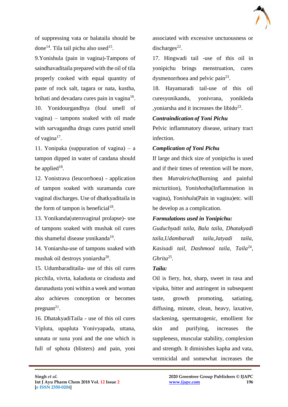

of suppressing vata or balataila should be done<sup>14</sup>. Tila tail pichu also used<sup>15</sup>.

9.Yonishula (pain in vagina)-Tampons of saindhavaditaila prepared with the oil of tila properly cooked with equal quantity of paste of rock salt, tagara or nata, kustha, brihati and devadaru cures pain in vagina<sup>16</sup>.

10. Yonidourgandhya (foul smell of vagina) – tampons soaked with oil made with sarvagandha drugs cures putrid smell of vagina $17$ .

11. Yonipaka (suppuration of vagina) – a tampon dipped in water of candana should be applied<sup>18</sup>.

12. Yonistrava (leucorrhoea) - application of tampon soaked with suramanda cure vaginal discharges. Use of dhatkyaditaila in the form of tampon is beneficial<sup>18</sup>.

13. Yonikanda(uterovaginal prolapse)- use of tampons soaked with mushak oil cures this shameful disease yonikanda<sup>19</sup>.

14. Yoniarsha-use of tampons soaked with mushak oil destroys yoniarsha<sup>20</sup>.

15. Udumbaraditaila- use of this oil cures picchila, vivrta, kaladusta or ciradusta and darunadusta yoni within a week and woman also achieves conception or becomes pregnant $2<sup>1</sup>$ .

16. DhatakyadiTaila - use of this oil cures Vipluta, upapluta Yonivyapada, uttana, unnata or suna yoni and the one which is full of sphota (blisters) and pain, yoni associated with excessive unctuousness or discharges $^{22}$ .

17. Hingwadi tail -use of this oil in yonipichu brings menstruation, cures dysmenorrhoea and pelvic pain<sup>23</sup>.

18. Hayamaradi tail-use of this oil curesyonikandu, yonivrana, yonikleda , yoniarsha and it increases the libido<sup>23</sup>.

#### *Contraindication of Yoni Pichu*

Pelvic inflammatory disease, urinary tract infection.

#### *Complication of Yoni Pichu*

If large and thick size of yonipichu is used and if their times of retention will be more, then *Mutrakricha*(Burning and painful micturition), *Yonishoth*a(Inflammation in vagina), *Yonishul*a(Pain in vagina)etc. will be develop as a complication.

#### *Formulations used in Yonipichu:*

*Guduchyadi taila*, *Bala taila*, *Dhatakyadi taila*,*Udambaradi taila*,*Jatyadi taila,*  Kasisadi tail, Dashmool taila, Taila<sup>24</sup>, *Ghrita*<sup>25</sup> .

#### *Taila:*

 $\mathcal{L}_\mathcal{L}$  , and the contribution of the contribution of the contribution of the contribution of the contribution of the contribution of the contribution of the contribution of the contribution of the contribution of

Oil is fiery, hot, sharp, sweet in rasa and vipaka, bitter and astringent in subsequent taste, growth promoting, satiating, diffusing, minute, clean, heavy, laxative, slackening, spermatogenic, emollient for skin and purifying, increases the suppleness, muscular stability, complexion and strength. It diminishes kapha and vata, vermicidal and somewhat increases the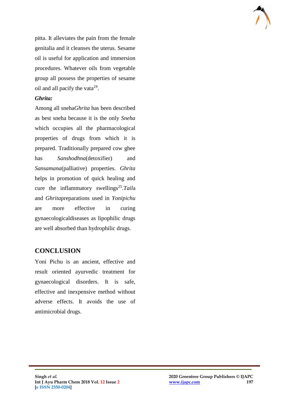

pitta. It alleviates the pain from the female genitalia and it cleanses the uterus. Sesame oil is useful for application and immersion procedures. Whatever oils from vegetable group all possess the properties of sesame oil and all pacify the vata $24$ .

#### *Ghrita:*

Among all sneha*Ghrita* has been described as best sneha because it is the only *Sneha*  which occupies all the pharmacological properties of drugs from which it is prepared. Traditionally prepared cow ghee has *Sanshodhna*(detoxifier) and *Sansamana*(palliative) properties. *Ghrita*  helps in promotion of quick healing and cure the inflammatory swellings<sup>25</sup>.Taila and *Ghrita*preparations used in *Yonipichu*  are more effective in curing gynaecologicaldiseases as lipophilic drugs are well absorbed than hydrophilic drugs.

# **CONCLUSION**

Yoni Pichu is an ancient, effective and result oriented ayurvedic treatment for gynaecological disorders. It is safe, effective and inexpensive method without adverse effects. It avoids the use of antimicrobial drugs.

 $\mathcal{L}_\mathcal{L}$  , and the contribution of the contribution of the contribution of the contribution of the contribution of the contribution of the contribution of the contribution of the contribution of the contribution of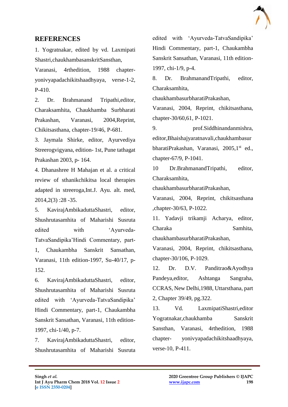

# **REFERENCES**

1. Yogratnakar, edited by vd. Laxmipati Shastri,chaukhambasanskritSansthan,

Varanasi, 4rthedition, 1988 chapteryonivyapadachikitshaadhyaya, verse-1-2, P-410.

2. Dr. Brahmanand Tripathi,editor, Charaksamhita, Chaukhamba Surbharati Prakashan, Varanasi, 2004,Reprint, Chikitsasthana, chapter-19/46, P-681.

3. Jaymala Shirke, editor, Ayurvediya Streerogvigyana, edition- 1st, Pune tathagat Prakashan 2003, p- 164.

4. Dhanashree H Mahajan et al. a critical review of sthanikchikitsa local therapies adapted in streeroga,Int.J. Ayu. alt. med, 2014,2(3) :28 -35.

5. KavirajAmbikaduttaShastri, editor, Shushrutasamhita of Maharishi Susruta edited with 'Ayurveda-TatvaSandipika'Hindi Commentary, part-1, Chaukambha Sanskrit Sansathan, Varanasi, 11th edition-1997, Su-40/17, p-152.

6. KavirajAmbikaduttaShastri, editor, Shushrutasamhita of Maharishi Susruta edited with 'Ayurveda-TatvaSandipika' Hindi Commentary, part-1, Chaukambha Sanskrit Sansathan, Varanasi, 11th edition-1997, chi-1/40, p-7.

7. KavirajAmbikaduttaShastri, editor, Shushrutasamhita of Maharishi Susruta

 $\mathcal{L}_\mathcal{L}$  , and the contribution of the contribution of the contribution of the contribution of the contribution of the contribution of the contribution of the contribution of the contribution of the contribution of

edited with 'Ayurveda-TatvaSandipika' Hindi Commentary, part-1, Chaukambha Sanskrit Sansathan, Varanasi, 11th edition-1997, chi-1/9, p-4.

8. Dr. BrahmanandTripathi, editor, Charaksamhita,

chaukhambasurbharatiPrakashan,

Varanasi, 2004, Reprint, chikitsasthana, chapter-30/60,61, P-1021.

9. prof.Siddhinandanmishra, editor,Bhaishajyaratnavali,chaukhambasur bharatiPrakashan, Varanasi, 2005,1<sup>st</sup> ed., chapter-67/9, P-1041.

10 Dr.BrahmanandTripathi, editor, Charaksamhita,

chaukhambasurbharatiPrakashan,

Varanasi, 2004, Reprint, chikitsasthana ,chapter-30/63, P-1022.

11. Yadavji trikamji Acharya, editor, Charaka Samhita,

chaukhambasurbharatiPrakashan,

Varanasi, 2004, Reprint, chikitsasthana, chapter-30/106, P-1029.

12. Dr. D.V. Panditrao&Ayodhya Pandeya,editor, Ashtanga Sangraha, CCRAS, New Delhi,1988, Uttarsthana, part 2, Chapter 39/49, pg.322.

13. Vd. LaxmipatiShastri,editor Yogratnakar,chaukhamba Sanskrit Sansthan, Varanasi, 4rthedition, 1988 chapter- yonivyapadachikitshaadhyaya, verse-10, P-411.